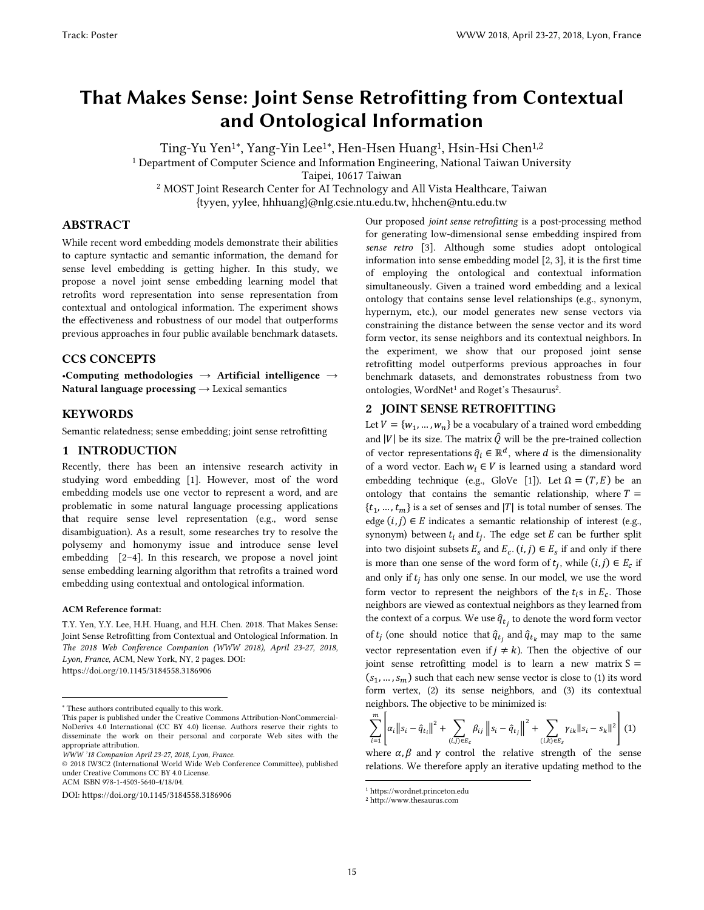# That Makes Sense: Joint Sense Retrofitting from Contextual and Ontological Information

Ting-Yu Yen<sup>1\*</sup>, Yang-Yin Lee<sup>1\*</sup>, Hen-Hsen Huang<sup>1</sup>, Hsin-Hsi Chen<sup>1,2</sup> 1 Department of Computer Science and Information Engineering, National Taiwan University Taipei, 10617 Taiwan <sup>2</sup> MOST Joint Research Center for AI Technology and All Vista Healthcare, Taiwan {tyyen, yylee, hhhuang}@nlg.csie.ntu.edu.tw, hhchen@ntu.edu.tw

ABSTRACT

While recent word embedding models demonstrate their abilities to capture syntactic and semantic information, the demand for sense level embedding is getting higher. In this study, we propose a novel joint sense embedding learning model that retrofits word representation into sense representation from contextual and ontological information. The experiment shows the effectiveness and robustness of our model that outperforms previous approaches in four public available benchmark datasets.

# CCS CONCEPTS

•Computing methodologies  $\rightarrow$  Artificial intelligence  $\rightarrow$ Natural language processing  $\rightarrow$  Lexical semantics

#### KEYWORDS

Semantic relatedness; sense embedding; joint sense retrofitting

## 1 INTRODUCTION

Recently, there has been an intensive research activity in studying word embedding [1]. However, most of the word embedding models use one vector to represent a word, and are problematic in some natural language processing applications that require sense level representation (e.g., word sense disambiguation). As a result, some researches try to resolve the polysemy and homonymy issue and introduce sense level embedding [2–4]. In this research, we propose a novel joint sense embedding learning algorithm that retrofits a trained word embedding using contextual and ontological information.

#### ACM Reference format:

 $\overline{a}$ 

T.Y. Yen, Y.Y. Lee, H.H. Huang, and H.H. Chen. 2018. That Makes Sense: Joint Sense Retrofitting from Contextual and Ontological Information. In *The 2018 Web Conference Companion (WWW 2018), April 23-27, 2018, Lyon, France*, ACM, New York, NY, 2 pages. DOI: https://doi.org/10.1145/3184558.3186906

Our proposed *joint sense retrofitting* is a post-processing method for generating low-dimensional sense embedding inspired from *sense retro* [3]. Although some studies adopt ontological information into sense embedding model [2, 3], it is the first time of employing the ontological and contextual information simultaneously. Given a trained word embedding and a lexical ontology that contains sense level relationships (e.g., synonym, hypernym, etc.), our model generates new sense vectors via constraining the distance between the sense vector and its word form vector, its sense neighbors and its contextual neighbors. In the experiment, we show that our proposed joint sense retrofitting model outperforms previous approaches in four benchmark datasets, and demonstrates robustness from two ontologies, WordNet<sup>1</sup> and Roget's Thesaurus<sup>2</sup>.

#### 2 JOINT SENSE RETROFITTING

Let  $V = \{w_1, ..., w_n\}$  be a vocabulary of a trained word embedding and |V| be its size. The matrix  $\hat{Q}$  will be the pre-trained collection of vector representations  $\hat{q}_i \in \mathbb{R}^d$ , where d is the dimensionality of a word vector. Each  $w_i \in V$  is learned using a standard word embedding technique (e.g., GloVe [1]). Let  $\Omega = (T, E)$  be an ontology that contains the semantic relationship, where  $T =$  $\{t_1, \ldots, t_m\}$  is a set of senses and  $|T|$  is total number of senses. The edge  $(i, j) \in E$  indicates a semantic relationship of interest (e.g., synonym) between  $t_i$  and  $t_j$ . The edge set  $E$  can be further split into two disjoint subsets  $E_s$  and  $E_c$ .  $(i, j) \in E_s$  if and only if there is more than one sense of the word form of  $t_j$ , while  $(i, j) \in E_c$  if and only if  $t_i$  has only one sense. In our model, we use the word form vector to represent the neighbors of the  $t_i$ s in  $E_c$ . Those neighbors are viewed as contextual neighbors as they learned from the context of a corpus. We use  $\hat{q}_{t_j}$  to denote the word form vector of  $t_j$  (one should notice that  $\hat{q}_{t_j}$  and  $\hat{q}_{t_k}$  may map to the same vector representation even if  $j \neq k$ ). Then the objective of our joint sense retrofitting model is to learn a new matrix  $S =$  $(s_1, ..., s_m)$  such that each new sense vector is close to (1) its word form vertex, (2) its sense neighbors, and (3) its contextual neighbors. The objective to be minimized is:

$$
\sum_{i=1}^{m} \left| \alpha_{i} \| s_{i} - \hat{q}_{t_{i}} \|^{2} + \sum_{(i,j) \in E_{c}} \beta_{ij} \| s_{i} - \hat{q}_{t_{j}} \|^{2} + \sum_{(i,k) \in E_{s}} \gamma_{ik} \| s_{i} - s_{k} \|^{2} \right) (1)
$$

where  $\alpha$ ,  $\beta$  and  $\gamma$  control the relative strength of the sense relations. We therefore apply an iterative updating method to the

 $\overline{a}$ 

 These authors contributed equally to this work.

This paper is published under the Creative Commons Attribution-NonCommercial-NoDerivs 4.0 International (CC BY 4.0) license. Authors reserve their rights to disseminate the work on their personal and corporate Web sites with the appropriate attribution.

*WWW '18 Companion April 23-27, 2018, Lyon, France.* 

<sup>© 2018</sup> IW3C2 (International World Wide Web Conference Committee), published under Creative Commons CC BY 4.0 License. ACM ISBN 978-1-4503-5640-4/18/04.

DOI: https://doi.org/10.1145/3184558.3186906

<sup>1</sup> https://wordnet.princeton.edu

<sup>2</sup> http://www.thesaurus.com